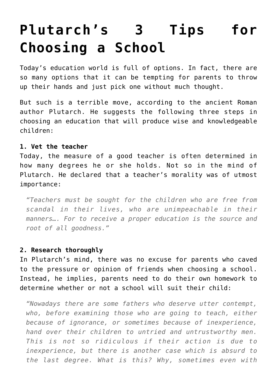## **[Plutarch's 3 Tips for](https://intellectualtakeout.org/2016/09/plutarchs-3-tips-for-choosing-a-school/) [Choosing a School](https://intellectualtakeout.org/2016/09/plutarchs-3-tips-for-choosing-a-school/)**

Today's education world is full of options. In fact, there are so many options that it can be tempting for parents to throw up their hands and just pick one without much thought.

But such is a terrible move, according to the ancient Roman author Plutarch. He suggests the following three steps in choosing an education that will produce wise and knowledgeable children:

## **1. Vet the teacher**

Today, the measure of a good teacher is often determined in how many degrees he or she holds. Not so in the mind of Plutarch. He declared that a teacher's morality was of utmost importance:

*"Teachers must be sought for the children who are free from scandal in their lives, who are unimpeachable in their manners…. For to receive a proper education is the source and root of all goodness."*

## **2. Research thoroughly**

In Plutarch's mind, there was no excuse for parents who caved to the pressure or opinion of friends when choosing a school. Instead, he implies, parents need to do their own homework to determine whether or not a school will suit their child:

*"Nowadays there are some fathers who deserve utter contempt, who, before examining those who are going to teach, either because of ignorance, or sometimes because of inexperience, hand over their children to untried and untrustworthy men. This is not so ridiculous if their action is due to inexperience, but there is another case which is absurd to the last degree. What is this? Why, sometimes even with*